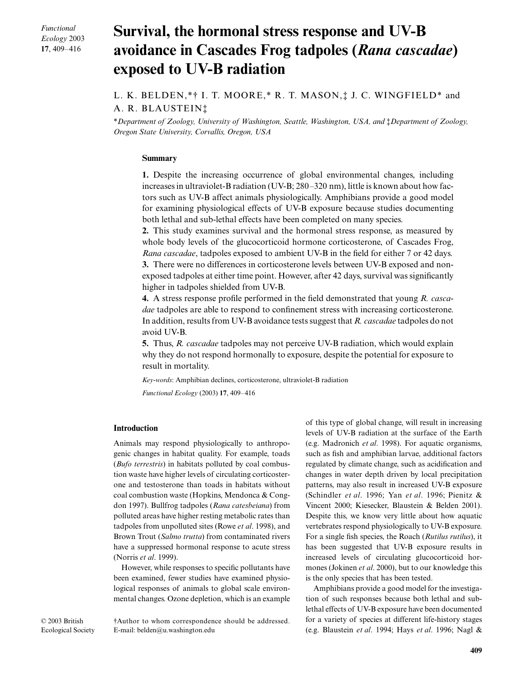*Functional Ecology* 2003 **17**, 409–416

# **Survival, the hormonal stress response and UV-B avoidance in Cascades Frog tadpoles (***Rana cascadae***) exposed to UV-B radiation**

# L. K. BELDEN,\*† I. T. MOORE,\* R. T. MASON,‡ J. C. WINGFIELD\* and A. R. BLAUSTEIN‡

\**Department of Zoology, University of Washington, Seattle, Washington, USA, and* ‡*Department of Zoology, Oregon State University, Corvallis, Oregon, USA* 

## **Summary**

**1.** Despite the increasing occurrence of global environmental changes, including increases in ultraviolet-B radiation (UV-B; 280–320 nm), little is known about how factors such as UV-B affect animals physiologically. Amphibians provide a good model for examining physiological effects of UV-B exposure because studies documenting both lethal and sub-lethal effects have been completed on many species.

**2.** This study examines survival and the hormonal stress response, as measured by whole body levels of the glucocorticoid hormone corticosterone, of Cascades Frog, *Rana cascadae*, tadpoles exposed to ambient UV-B in the field for either 7 or 42 days. **3.** There were no differences in corticosterone levels between UV-B exposed and nonexposed tadpoles at either time point. However, after 42 days, survival was significantly higher in tadpoles shielded from UV-B.

**4.** A stress response profile performed in the field demonstrated that young *R. cascadae* tadpoles are able to respond to confinement stress with increasing corticosterone. In addition, results from UV-B avoidance tests suggest that *R. cascadae* tadpoles do not avoid UV-B.

**5.** Thus, *R. cascadae* tadpoles may not perceive UV-B radiation, which would explain why they do not respond hormonally to exposure, despite the potential for exposure to result in mortality.

*Key-words*: Amphibian declines, corticosterone, ultraviolet-B radiation

*Functional Ecology* (2003) **17**, 409–416

## **Introduction**

Animals may respond physiologically to anthropogenic changes in habitat quality. For example, toads (*Bufo terrestris*) in habitats polluted by coal combustion waste have higher levels of circulating corticosterone and testosterone than toads in habitats without coal combustion waste (Hopkins, Mendonca & Congdon 1997). Bullfrog tadpoles (*Rana catesbeiana*) from polluted areas have higher resting metabolic rates than tadpoles from unpolluted sites (Rowe *et al*. 1998), and Brown Trout (*Salmo trutta*) from contaminated rivers have a suppressed hormonal response to acute stress (Norris *et al*. 1999).

However, while responses to specific pollutants have been examined, fewer studies have examined physiological responses of animals to global scale environmental changes. Ozone depletion, which is an example of this type of global change, will result in increasing levels of UV-B radiation at the surface of the Earth (e.g. Madronich *et al*. 1998). For aquatic organisms, such as fish and amphibian larvae, additional factors regulated by climate change, such as acidification and changes in water depth driven by local precipitation patterns, may also result in increased UV-B exposure (Schindler *et al*. 1996; Yan *et al*. 1996; Pienitz & Vincent 2000; Kiesecker, Blaustein & Belden 2001). Despite this, we know very little about how aquatic vertebrates respond physiologically to UV-B exposure. For a single fish species, the Roach (*Rutilus rutilus*), it has been suggested that UV-B exposure results in increased levels of circulating glucocorticoid hormones (Jokinen *et al*. 2000), but to our knowledge this is the only species that has been tested.

Amphibians provide a good model for the investigation of such responses because both lethal and sublethal effects of UV-B exposure have been documented for a variety of species at different life-history stages (e.g. Blaustein *et al*. 1994; Hays *et al*. 1996; Nagl &

© 2003 British Ecological Society †Author to whom correspondence should be addressed. E-mail: belden@u.washington.edu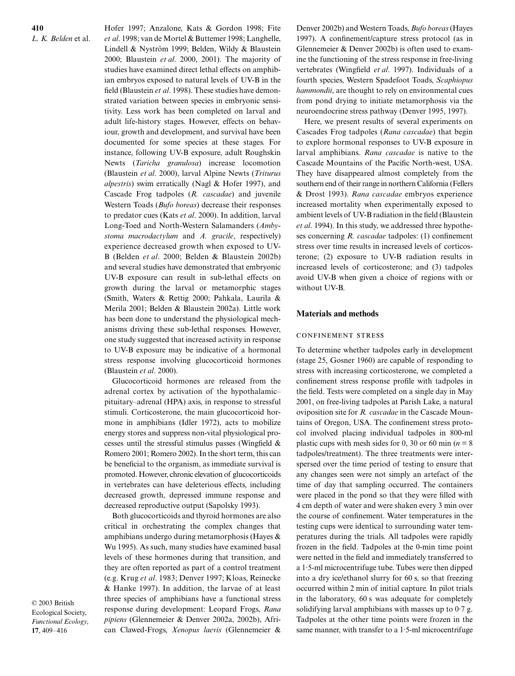**410** *L. K. Belden* et al. Hofer 1997; Anzalone, Kats & Gordon 1998; Fite *et al*. 1998; van de Mortel & Buttemer 1998; Langhelle, Lindell & Nyström 1999; Belden, Wildy & Blaustein 2000; Blaustein *et al*. 2000, 2001). The majority of studies have examined direct lethal effects on amphibian embryos exposed to natural levels of UV-B in the field (Blaustein *et al*. 1998). These studies have demonstrated variation between species in embryonic sensitivity. Less work has been completed on larval and adult life-history stages. However, effects on behaviour, growth and development, and survival have been documented for some species at these stages. For instance, following UV-B exposure, adult Roughskin Newts (*Taricha granulosa*) increase locomotion (Blaustein *et al*. 2000), larval Alpine Newts (*Triturus alpestris*) swim erratically (Nagl & Hofer 1997), and Cascade Frog tadpoles (*R. cascadae*) and juvenile Western Toads (*Bufo boreas*) decrease their responses to predator cues (Kats *et al*. 2000). In addition, larval Long-Toed and North-Western Salamanders (*Ambystoma macrodactylum* and *A. gracile*, respectively) experience decreased growth when exposed to UV-B (Belden *et al*. 2000; Belden & Blaustein 2002b) and several studies have demonstrated that embryonic UV-B exposure can result in sub-lethal effects on growth during the larval or metamorphic stages (Smith, Waters & Rettig 2000; Pahkala, Laurila & Merila 2001; Belden & Blaustein 2002a). Little work has been done to understand the physiological mechanisms driving these sub-lethal responses. However, one study suggested that increased activity in response to UV-B exposure may be indicative of a hormonal stress response involving glucocorticoid hormones (Blaustein *et al*. 2000).

Glucocorticoid hormones are released from the adrenal cortex by activation of the hypothalamic– pituitary–adrenal (HPA) axis, in response to stressful stimuli. Corticosterone, the main glucocorticoid hormone in amphibians (Idler 1972), acts to mobilize energy stores and suppress non-vital physiological processes until the stressful stimulus passes (Wingfield & Romero 2001; Romero 2002). In the short term, this can be beneficial to the organism, as immediate survival is promoted. However, chronic elevation of glucocorticoids in vertebrates can have deleterious effects, including decreased growth, depressed immune response and decreased reproductive output (Sapolsky 1993).

Both glucocorticoids and thyroid hormones are also critical in orchestrating the complex changes that amphibians undergo during metamorphosis (Hayes & Wu 1995). As such, many studies have examined basal levels of these hormones during that transition, and they are often reported as part of a control treatment (e.g. Krug *et al*. 1983; Denver 1997; Kloas, Reinecke & Hanke 1997). In addition, the larvae of at least three species of amphibians have a functional stress response during development: Leopard Frogs, *Rana pipiens* (Glennemeier & Denver 2002a, 2002b), African Clawed-Frogs, *Xenopus laevis* (Glennemeier &

© 2003 British Ecological Society, *Functional Ecology*, **17**, 409–416

Denver 2002b) and Western Toads, *Bufo boreas*(Hayes 1997). A confinement/capture stress protocol (as in Glennemeier & Denver 2002b) is often used to examine the functioning of the stress response in free-living vertebrates (Wingfield *et al*. 1997). Individuals of a fourth species, Western Spadefoot Toads, *Scaphiopus hammondii*, are thought to rely on environmental cues from pond drying to initiate metamorphosis via the neuroendocrine stress pathway (Denver 1995, 1997).

Here, we present results of several experiments on Cascades Frog tadpoles (*Rana cascadae*) that begin to explore hormonal responses to UV-B exposure in larval amphibians. *Rana cascadae* is native to the Cascade Mountains of the Pacific North-west, USA. They have disappeared almost completely from the southern end of their range in northern California (Fellers & Drost 1993). *Rana cascadae* embryos experience increased mortality when experimentally exposed to ambient levels of UV-B radiation in the field (Blaustein *et al*. 1994). In this study, we addressed three hypotheses concerning *R. cascadae* tadpoles: (1) confinement stress over time results in increased levels of corticosterone; (2) exposure to UV-B radiation results in increased levels of corticosterone; and (3) tadpoles avoid UV-B when given a choice of regions with or without UV-B.

## **Materials and methods**

#### **CONFINEMENT STRESS**

To determine whether tadpoles early in development (stage 25, Gosner 1960) are capable of responding to stress with increasing corticosterone, we completed a confinement stress response profile with tadpoles in the field. Tests were completed on a single day in May 2001, on free-living tadpoles at Parish Lake, a natural oviposition site for *R. cascadae* in the Cascade Mountains of Oregon, USA. The confinement stress protocol involved placing individual tadpoles in 800-ml plastic cups with mesh sides for 0, 30 or 60 min ( $n = 8$ ) tadpoles/treatment). The three treatments were interspersed over the time period of testing to ensure that any changes seen were not simply an artefact of the time of day that sampling occurred. The containers were placed in the pond so that they were filled with 4 cm depth of water and were shaken every 3 min over the course of confinement. Water temperatures in the testing cups were identical to surrounding water temperatures during the trials. All tadpoles were rapidly frozen in the field. Tadpoles at the 0-min time point were netted in the field and immediately transferred to a 1·5-ml microcentrifuge tube. Tubes were then dipped into a dry ice/ethanol slurry for 60 s, so that freezing occurred within 2 min of initial capture. In pilot trials in the laboratory, 60 s was adequate for completely solidifying larval amphibians with masses up to  $0.7$  g. Tadpoles at the other time points were frozen in the same manner, with transfer to a 1.5-ml microcentrifuge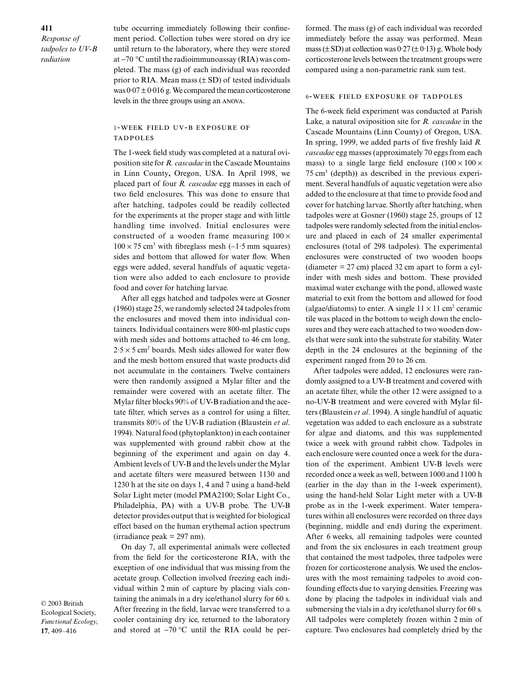*Response of tadpoles to UV-B radiation* 

tube occurring immediately following their confinement period. Collection tubes were stored on dry ice until return to the laboratory, where they were stored at −70 °C until the radioimmunoassay (RIA) was completed. The mass (g) of each individual was recorded prior to RIA. Mean mass  $(\pm SD)$  of tested individuals was  $0.07 \pm 0.016$  g. We compared the mean corticosterone levels in the three groups using an ANOVA.

## 1-WEEK FIELD UV-B EXPOSURE OF **TADPOLES**

The 1-week field study was completed at a natural oviposition site for *R. cascadae* in the Cascade Mountains in Linn County**,** Oregon, USA. In April 1998, we placed part of four *R. cascadae* egg masses in each of two field enclosures. This was done to ensure that after hatching, tadpoles could be readily collected for the experiments at the proper stage and with little handling time involved. Initial enclosures were constructed of a wooden frame measuring  $100 \times$ 100 × 75 cm3 with fibreglass mesh (∼1·5 mm squares) sides and bottom that allowed for water flow. When eggs were added, several handfuls of aquatic vegetation were also added to each enclosure to provide food and cover for hatching larvae.

After all eggs hatched and tadpoles were at Gosner (1960) stage 25, we randomly selected 24 tadpoles from the enclosures and moved them into individual containers. Individual containers were 800-ml plastic cups with mesh sides and bottoms attached to 46 cm long,  $2.5 \times 5$  cm<sup>2</sup> boards. Mesh sides allowed for water flow and the mesh bottom ensured that waste products did not accumulate in the containers. Twelve containers were then randomly assigned a Mylar filter and the remainder were covered with an acetate filter. The Mylar filter blocks 90% of UV-B radiation and the acetate filter, which serves as a control for using a filter, transmits 80% of the UV-B radiation (Blaustein *et al*. 1994). Natural food (phytoplankton) in each container was supplemented with ground rabbit chow at the beginning of the experiment and again on day 4. Ambient levels of UV-B and the levels under the Mylar and acetate filters were measured between 1130 and 1230 h at the site on days 1, 4 and 7 using a hand-held Solar Light meter (model PMA2100; Solar Light Co., Philadelphia, PA) with a UV-B probe. The UV-B detector provides output that is weighted for biological effect based on the human erythemal action spectrum  $(irradiance peak = 297 nm).$ 

On day 7, all experimental animals were collected from the field for the corticosterone RIA, with the exception of one individual that was missing from the acetate group. Collection involved freezing each individual within 2 min of capture by placing vials containing the animals in a dry ice/ethanol slurry for 60 s. After freezing in the field, larvae were transferred to a cooler containing dry ice, returned to the laboratory and stored at −70 °C until the RIA could be performed. The mass (g) of each individual was recorded immediately before the assay was performed. Mean mass ( $\pm$  SD) at collection was 0.27 ( $\pm$  0.13) g. Whole body corticosterone levels between the treatment groups were compared using a non-parametric rank sum test.

#### **6-WEEK FIELD EXPOSURE OF TADPOLES**

The 6-week field experiment was conducted at Parish Lake, a natural oviposition site for *R. cascadae* in the Cascade Mountains (Linn County) of Oregon, USA. In spring, 1999, we added parts of five freshly laid *R. cascadae* egg masses (approximately 70 eggs from each mass) to a single large field enclosure  $(100 \times 100 \times$  $75 \text{ cm}^3$  (depth)) as described in the previous experiment. Several handfuls of aquatic vegetation were also added to the enclosure at that time to provide food and cover for hatching larvae. Shortly after hatching, when tadpoles were at Gosner (1960) stage 25, groups of 12 tadpoles were randomly selected from the initial enclosure and placed in each of 24 smaller experimental enclosures (total of 298 tadpoles). The experimental enclosures were constructed of two wooden hoops (diameter  $= 27$  cm) placed 32 cm apart to form a cylinder with mesh sides and bottom. These provided maximal water exchange with the pond, allowed waste material to exit from the bottom and allowed for food (algae/diatoms) to enter. A single  $11 \times 11$  cm<sup>2</sup> ceramic tile was placed in the bottom to weigh down the enclosures and they were each attached to two wooden dowels that were sunk into the substrate for stability. Water depth in the 24 enclosures at the beginning of the experiment ranged from 20 to 26 cm.

After tadpoles were added, 12 enclosures were randomly assigned to a UV-B treatment and covered with an acetate filter, while the other 12 were assigned to a no-UV-B treatment and were covered with Mylar filters (Blaustein *et al*. 1994). A single handful of aquatic vegetation was added to each enclosure as a substrate for algae and diatoms, and this was supplemented twice a week with ground rabbit chow. Tadpoles in each enclosure were counted once a week for the duration of the experiment. Ambient UV-B levels were recorded once a week as well, between 1000 and 1100 h (earlier in the day than in the 1-week experiment), using the hand-held Solar Light meter with a UV-B probe as in the 1-week experiment. Water temperatures within all enclosures were recorded on three days (beginning, middle and end) during the experiment. After 6 weeks, all remaining tadpoles were counted and from the six enclosures in each treatment group that contained the most tadpoles, three tadpoles were frozen for corticosterone analysis. We used the enclosures with the most remaining tadpoles to avoid confounding effects due to varying densities. Freezing was done by placing the tadpoles in individual vials and submersing the vials in a dry ice/ethanol slurry for 60 s. All tadpoles were completely frozen within 2 min of capture. Two enclosures had completely dried by the

© 2003 British Ecological Society, *Functional Ecology*, **17**, 409–416

#### **411**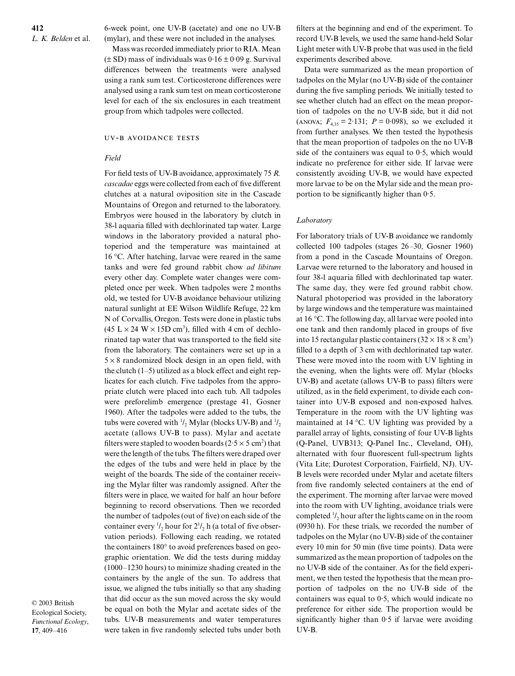6-week point, one UV-B (acetate) and one no UV-B (mylar), and these were not included in the analyses.

Mass was recorded immediately prior to RIA. Mean  $(\pm SD)$  mass of individuals was  $0.16 \pm 0.09$  g. Survival differences between the treatments were analysed using a rank sum test. Corticosterone differences were analysed using a rank sum test on mean corticosterone level for each of the six enclosures in each treatment group from which tadpoles were collected.

## UV-B AVOIDANCE TESTS

#### *Field*

For field tests of UV-B avoidance, approximately 75 *R. cascadae* eggs were collected from each of five different clutches at a natural oviposition site in the Cascade Mountains of Oregon and returned to the laboratory. Embryos were housed in the laboratory by clutch in 38-l aquaria filled with dechlorinated tap water. Large windows in the laboratory provided a natural photoperiod and the temperature was maintained at 16 °C. After hatching, larvae were reared in the same tanks and were fed ground rabbit chow *ad libitum* every other day. Complete water changes were completed once per week. When tadpoles were 2 months old, we tested for UV-B avoidance behaviour utilizing natural sunlight at EE Wilson Wildlife Refuge, 22 km N of Corvallis, Oregon. Tests were done in plastic tubs  $(45 \text{ L} \times 24 \text{ W} \times 15 \text{D} \text{ cm}^3)$ , filled with 4 cm of dechlorinated tap water that was transported to the field site from the laboratory. The containers were set up in a  $5 \times 8$  randomized block design in an open field, with the clutch (1–5) utilized as a block effect and eight replicates for each clutch. Five tadpoles from the appropriate clutch were placed into each tub. All tadpoles were preforelimb emergence (prestage 41, Gosner 1960). After the tadpoles were added to the tubs, the tubs were covered with  $\frac{1}{2}$  Mylar (blocks UV-B) and  $\frac{1}{2}$ acetate (allows UV-B to pass). Mylar and acetate filters were stapled to wooden boards ( $2.5 \times 5$  cm<sup>2</sup>) that were the length of the tubs. The filters were draped over the edges of the tubs and were held in place by the weight of the boards. The side of the container receiving the Mylar filter was randomly assigned. After the filters were in place, we waited for half an hour before beginning to record observations. Then we recorded the number of tadpoles (out of five) on each side of the container every  $\frac{1}{2}$  hour for  $2\frac{1}{2}$  h (a total of five observation periods). Following each reading, we rotated the containers 180° to avoid preferences based on geographic orientation. We did the tests during midday (1000–1230 hours) to minimize shading created in the containers by the angle of the sun. To address that issue, we aligned the tubs initially so that any shading that did occur as the sun moved across the sky would be equal on both the Mylar and acetate sides of the tubs. UV-B measurements and water temperatures were taken in five randomly selected tubs under both

© 2003 British Ecological Society, *Functional Ecology*, **17**, 409–416

filters at the beginning and end of the experiment. To record UV-B levels, we used the same hand-held Solar Light meter with UV-B probe that was used in the field experiments described above.

Data were summarized as the mean proportion of tadpoles on the Mylar (no UV-B) side of the container during the five sampling periods. We initially tested to see whether clutch had an effect on the mean proportion of tadpoles on the no UV-B side, but it did not (ANOVA;  $F_{4,35} = 2.131$ ;  $P = 0.098$ ), so we excluded it from further analyses. We then tested the hypothesis that the mean proportion of tadpoles on the no UV-B side of the containers was equal to  $0.5$ , which would indicate no preference for either side. If larvae were consistently avoiding UV-B, we would have expected more larvae to be on the Mylar side and the mean proportion to be significantly higher than 0·5.

#### *Laboratory*

For laboratory trials of UV-B avoidance we randomly collected 100 tadpoles (stages 26–30, Gosner 1960) from a pond in the Cascade Mountains of Oregon. Larvae were returned to the laboratory and housed in four 38-l aquaria filled with dechlorinated tap water. The same day, they were fed ground rabbit chow. Natural photoperiod was provided in the laboratory by large windows and the temperature was maintained at 16 °C. The following day, all larvae were pooled into one tank and then randomly placed in groups of five into 15 rectangular plastic containers  $(32 \times 18 \times 8 \text{ cm}^3)$ filled to a depth of 3 cm with dechlorinated tap water. These were moved into the room with UV lighting in the evening, when the lights were off. Mylar (blocks UV-B) and acetate (allows UV-B to pass) filters were utilized, as in the field experiment, to divide each container into UV-B exposed and non-exposed halves. Temperature in the room with the UV lighting was maintained at 14 °C. UV lighting was provided by a parallel array of lights, consisting of four UV-B lights (Q-Panel, UVB313; Q-Panel Inc., Cleveland, OH), alternated with four fluorescent full-spectrum lights (Vita Lite; Durotest Corporation, Fairfield, NJ). UV-B levels were recorded under Mylar and acetate filters from five randomly selected containers at the end of the experiment. The morning after larvae were moved into the room with UV lighting, avoidance trials were completed  $\frac{1}{2}$  hour after the lights came on in the room (0930 h). For these trials, we recorded the number of tadpoles on the Mylar (no UV-B) side of the container every 10 min for 50 min (five time points). Data were summarized as the mean proportion of tadpoles on the no UV-B side of the container. As for the field experiment, we then tested the hypothesis that the mean proportion of tadpoles on the no UV-B side of the containers was equal to 0·5, which would indicate no preference for either side. The proportion would be significantly higher than 0·5 if larvae were avoiding UV-B.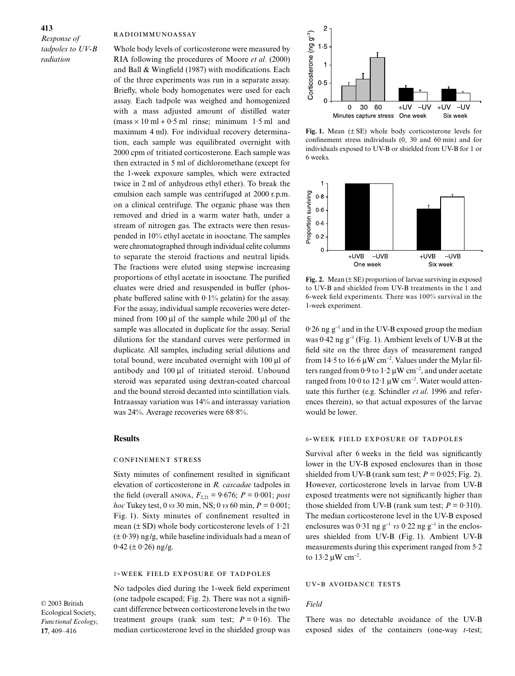# *Response of tadpoles to UV-B radiation*

#### RADIOIMMUNOASSAY

Whole body levels of corticosterone were measured by RIA following the procedures of Moore *et al*. (2000) and Ball & Wingfield (1987) with modifications. Each of the three experiments was run in a separate assay. Briefly, whole body homogenates were used for each assay. Each tadpole was weighed and homogenized with a mass adjusted amount of distilled water  $(mass \times 10 \text{ ml} + 0.5 \text{ ml}$  rinse; minimum 1.5 ml and maximum 4 ml). For individual recovery determination, each sample was equilibrated overnight with 2000 cpm of tritiated corticosterone. Each sample was then extracted in 5 ml of dichloromethane (except for the 1-week exposure samples, which were extracted twice in 2 ml of anhydrous ethyl ether). To break the emulsion each sample was centrifuged at 2000 r.p.m. on a clinical centrifuge. The organic phase was then removed and dried in a warm water bath, under a stream of nitrogen gas. The extracts were then resuspended in 10% ethyl acetate in isooctane. The samples were chromatographed through individual celite columns to separate the steroid fractions and neutral lipids. The fractions were eluted using stepwise increasing proportions of ethyl acetate in isooctane. The purified eluates were dried and resuspended in buffer (phosphate buffered saline with  $0.1\%$  gelatin) for the assay. For the assay, individual sample recoveries were determined from  $100 \mu l$  of the sample while  $200 \mu l$  of the sample was allocated in duplicate for the assay. Serial dilutions for the standard curves were performed in duplicate. All samples, including serial dilutions and total bound, were incubated overnight with 100 µl of antibody and 100 µl of tritiated steroid. Unbound steroid was separated using dextran-coated charcoal and the bound steroid decanted into scintillation vials. Intraassay variation was 14% and interassay variation was 24%. Average recoveries were 68·8%.

## **Results**

#### **CONFINEMENT STRESS**

Sixty minutes of confinement resulted in significant elevation of corticosterone in *R. cascadae* tadpoles in the field (overall ANOVA,  $F_{2,21} = 9.676$ ;  $P = 0.001$ ; *post hoc* Tukey test, 0 *vs* 30 min, NS; 0 *vs* 60 min, *P* = 0·001; Fig. 1). Sixty minutes of confinement resulted in mean  $(\pm SD)$  whole body corticosterone levels of 1.21  $(± 0.39)$  ng/g, while baseline individuals had a mean of  $0.42 \ (\pm 0.26)$  ng/g.

#### 1-WEEK FIELD EXPOSURE OF TADPOLES

No tadpoles died during the 1-week field experiment (one tadpole escaped; Fig. 2). There was not a significant difference between corticosterone levels in the two treatment groups (rank sum test;  $P = 0.16$ ). The median corticosterone level in the shielded group was



**Fig. 1.** Mean (± SE) whole body corticosterone levels for confinement stress individuals (0, 30 and 60 min) and for individuals exposed to UV-B or shielded from UV-B for 1 or 6 weeks.



**Fig. 2.** Mean (± SE) proportion of larvae surviving in exposed to UV-B and shielded from UV-B treatments in the 1 and 6-week field experiments. There was 100% survival in the 1-week experiment.

0·26 ng g<sup>−</sup><sup>1</sup> and in the UV-B exposed group the median was 0·42 ng g<sup>-1</sup> (Fig. 1). Ambient levels of UV-B at the field site on the three days of measurement ranged from 14 $\cdot$ 5 to 16 $\cdot$ 6 µW cm<sup>-2</sup>. Values under the Mylar filters ranged from 0 $\cdot$ 9 to 1 $\cdot$ 2 µW cm<sup>-2</sup>, and under acetate ranged from 10 $\cdot$ 0 to 12 $\cdot$ 1 µW cm<sup>-2</sup>. Water would attenuate this further (e.g. Schindler *et al*. 1996 and references therein), so that actual exposures of the larvae would be lower.

#### **6-WEEK FIELD EXPOSURE OF TADPOLES**

Survival after 6 weeks in the field was significantly lower in the UV-B exposed enclosures than in those shielded from UV-B (rank sum test;  $P = 0.025$ ; Fig. 2). However, corticosterone levels in larvae from UV-B exposed treatments were not significantly higher than those shielded from UV-B (rank sum test;  $P = 0.310$ ). The median corticosterone level in the UV-B exposed enclosures was 0·31 ng g<sup>−</sup><sup>1</sup> *vs* 0·22 ng g<sup>−</sup><sup>1</sup> in the enclosures shielded from UV-B (Fig. 1). Ambient UV-B measurements during this experiment ranged from 5·2 to 13 $\cdot$ 2 µW cm<sup>-2</sup>.

#### **UV-B AVOIDANCE TESTS**

#### *Field*

There was no detectable avoidance of the UV-B exposed sides of the containers (one-way *t*-test;

© 2003 British Ecological Society, *Functional Ecology*, **17**, 409–416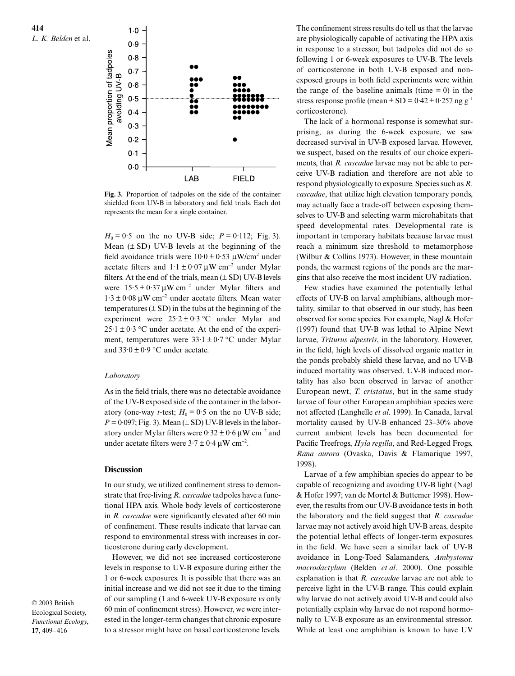

**Fig. 3.** Proportion of tadpoles on the side of the container shielded from UV-B in laboratory and field trials. Each dot represents the mean for a single container.

 $H_0 = 0.5$  on the no UV-B side;  $P = 0.112$ ; Fig. 3). Mean  $(\pm SD)$  UV-B levels at the beginning of the field avoidance trials were  $10.0 \pm 0.53 \text{ µW/cm}^2$  under acetate filters and  $1 \cdot 1 \pm 0 \cdot 07 \mu W$  cm<sup>-2</sup> under Mylar filters. At the end of the trials, mean  $(\pm SD)$  UV-B levels were  $15.5 \pm 0.37 \,\mu\text{W cm}^{-2}$  under Mylar filters and 1·3 ± 0·08 µW cm<sup>−</sup><sup>2</sup> under acetate filters. Mean water temperatures  $(\pm SD)$  in the tubs at the beginning of the experiment were  $25.2 \pm 0.3$  °C under Mylar and  $25 \cdot 1 \pm 0.3$  °C under acetate. At the end of the experiment, temperatures were  $33.1 \pm 0.7$  °C under Mylar and  $33.0 \pm 0.9$  °C under acetate.

#### *Laboratory*

As in the field trials, there was no detectable avoidance of the UV-B exposed side of the container in the laboratory (one-way *t*-test;  $H_0 = 0.5$  on the no UV-B side;  $P = 0.097$ ; Fig. 3). Mean ( $\pm$  SD) UV-B levels in the laboratory under Mylar filters were  $0.32 \pm 0.6 \,\mu\text{W cm}^{-2}$  and under acetate filters were  $3.7 \pm 0.4 \,\mathrm{\upmu W \, cm^{-2}}$ .

## **Discussion**

In our study, we utilized confinement stress to demonstrate that free-living *R. cascadae* tadpoles have a functional HPA axis. Whole body levels of corticosterone in *R. cascadae* were significantly elevated after 60 min of confinement. These results indicate that larvae can respond to environmental stress with increases in corticosterone during early development.

However, we did not see increased corticosterone levels in response to UV-B exposure during either the 1 or 6-week exposures. It is possible that there was an initial increase and we did not see it due to the timing of our sampling (1 and 6-week UV-B exposure *vs* only 60 min of confinement stress). However, we were interested in the longer-term changes that chronic exposure to a stressor might have on basal corticosterone levels. The confinement stress results do tell us that the larvae are physiologically capable of activating the HPA axis in response to a stressor, but tadpoles did not do so following 1 or 6-week exposures to UV-B. The levels of corticosterone in both UV-B exposed and nonexposed groups in both field experiments were within the range of the baseline animals (time  $= 0$ ) in the stress response profile (mean  $\pm$  SD = 0·42  $\pm$  0·257 ng g<sup>-1</sup> corticosterone).

The lack of a hormonal response is somewhat surprising, as during the 6-week exposure, we saw decreased survival in UV-B exposed larvae. However, we suspect, based on the results of our choice experiments, that *R. cascadae* larvae may not be able to perceive UV-B radiation and therefore are not able to respond physiologically to exposure. Species such as *R. cascadae*, that utilize high elevation temporary ponds, may actually face a trade-off between exposing themselves to UV-B and selecting warm microhabitats that speed developmental rates. Developmental rate is important in temporary habitats because larvae must reach a minimum size threshold to metamorphose (Wilbur & Collins 1973). However, in these mountain ponds, the warmest regions of the ponds are the margins that also receive the most incident UV radiation.

Few studies have examined the potentially lethal effects of UV-B on larval amphibians, although mortality, similar to that observed in our study, has been observed for some species. For example, Nagl & Hofer (1997) found that UV-B was lethal to Alpine Newt larvae, *Triturus alpestris*, in the laboratory. However, in the field, high levels of dissolved organic matter in the ponds probably shield these larvae, and no UV-B induced mortality was observed. UV-B induced mortality has also been observed in larvae of another European newt, *T. cristatus*, but in the same study larvae of four other European amphibian species were not affected (Langhelle *et al*. 1999). In Canada, larval mortality caused by UV-B enhanced 23–30% above current ambient levels has been documented for Pacific Treefrogs, *Hyla regilla*, and Red-Legged Frogs, *Rana aurora* (Ovaska, Davis & Flamarique 1997, 1998).

Larvae of a few amphibian species do appear to be capable of recognizing and avoiding UV-B light (Nagl & Hofer 1997; van de Mortel & Buttemer 1998). However, the results from our UV-B avoidance tests in both the laboratory and the field suggest that *R. cascadae* larvae may not actively avoid high UV-B areas, despite the potential lethal effects of longer-term exposures in the field. We have seen a similar lack of UV-B avoidance in Long-Toed Salamanders, *Ambystoma macrodactylum* (Belden *et al*. 2000). One possible explanation is that *R. cascadae* larvae are not able to perceive light in the UV-B range. This could explain why larvae do not actively avoid UV-B and could also potentially explain why larvae do not respond hormonally to UV-B exposure as an environmental stressor. While at least one amphibian is known to have UV

© 2003 British Ecological Society, *Functional Ecology*, **17**, 409–416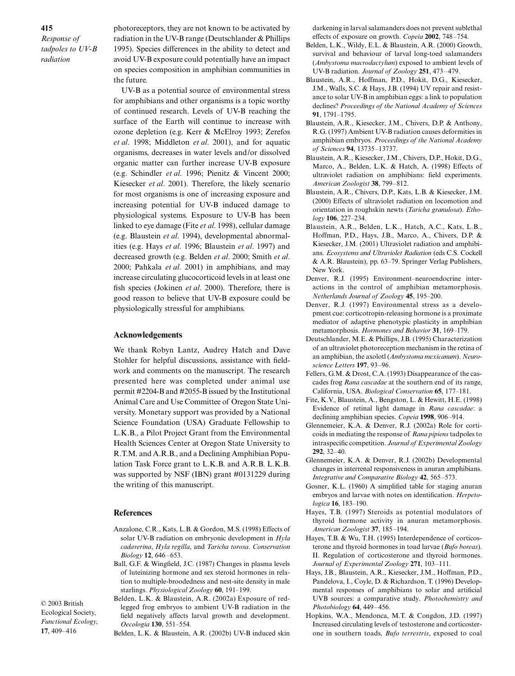*Response of tadpoles to UV-B radiation* 

photoreceptors, they are not known to be activated by radiation in the UV-B range (Deutschlander & Phillips 1995). Species differences in the ability to detect and avoid UV-B exposure could potentially have an impact on species composition in amphibian communities in the future.

UV-B as a potential source of environmental stress for amphibians and other organisms is a topic worthy of continued research. Levels of UV-B reaching the surface of the Earth will continue to increase with ozone depletion (e.g. Kerr & McElroy 1993; Zerefos *et al*. 1998; Middleton *et al*. 2001), and for aquatic organisms, decreases in water levels and/or dissolved organic matter can further increase UV-B exposure (e.g. Schindler *et al*. 1996; Pienitz & Vincent 2000; Kiesecker *et al*. 2001). Therefore, the likely scenario for most organisms is one of increasing exposure and increasing potential for UV-B induced damage to physiological systems. Exposure to UV-B has been linked to eye damage (Fite *et al*. 1998), cellular damage (e.g. Blaustein *et al*. 1994), developmental abnormalities (e.g. Hays *et al*. 1996; Blaustein *et al*. 1997) and decreased growth (e.g. Belden *et al*. 2000; Smith *et al*. 2000; Pahkala *et al*. 2001) in amphibians, and may increase circulating glucocorticoid levels in at least one fish species (Jokinen *et al*. 2000). Therefore, there is good reason to believe that UV-B exposure could be physiologically stressful for amphibians.

## **Acknowledgements**

We thank Robyn Lantz, Audrey Hatch and Dave Stohler for helpful discussions, assistance with fieldwork and comments on the manuscript. The research presented here was completed under animal use permit #2204-B and #2055-B issued by the Institutional Animal Care and Use Committee of Oregon State University. Monetary support was provided by a National Science Foundation (USA) Graduate Fellowship to L.K.B., a Pilot Project Grant from the Environmental Health Sciences Center at Oregon State University to R.T.M. and A.R.B., and a Declining Amphibian Population Task Force grant to L.K.B. and A.R.B. L.K.B. was supported by NSF (IBN) grant #0131229 during the writing of this manuscript.

#### **References**

- Anzalone, C.R., Kats, L.B. & Gordon, M.S. (1998) Effects of solar UV-B radiation on embryonic development in *Hyla cadaverina*, *Hyla regilla*, and *Taricha torosa*. *Conservation Biology* **12**, 646–653.
- Ball, G.F. & Wingfield, J.C. (1987) Changes in plasma levels of luteinizing hormone and sex steroid hormones in relation to multiple-broodedness and nest-site density in male starlings. *Physiological Zoology* **60**, 191–199.

© 2003 British Ecological Society, *Functional Ecology*, **17**, 409–416

Belden, L.K. & Blaustein, A.R. (2002a) Exposure of redlegged frog embryos to ambient UV-B radiation in the field negatively affects larval growth and development. *Oecologia* **130**, 551–554.

Belden, L.K. & Blaustein, A.R. (2002b) UV-B induced skin

darkening in larval salamanders does not prevent sublethal effects of exposure on growth. *Copeia* **2002**, 748–754.

- Belden, L.K., Wildy, E.L. & Blaustein, A.R. (2000) Growth, survival and behaviour of larval long-toed salamanders (*Ambystoma macrodactylum*) exposed to ambient levels of UV-B radiation. *Journal of Zoology* **251**, 473–479.
- Blaustein, A.R., Hoffman, P.D., Hokit, D.G., Kiesecker, J.M., Walls, S.C. & Hays, J.B. (1994) UV repair and resistance to solar UV-B in amphibian eggs: a link to population declines? *Proceedings of the National Academy of Sciences* **91**, 1791–1795.
- Blaustein, A.R., Kiesecker, J.M., Chivers, D.P. & Anthony, R.G. (1997) Ambient UV-B radiation causes deformities in amphibian embryos. *Proceedings of the National Academy of Sciences* **94**, 13735–13737.
- Blaustein, A.R., Kiesecker, J.M., Chivers, D.P., Hokit, D.G., Marco, A., Belden, L.K. & Hatch, A. (1998) Effects of ultraviolet radiation on amphibians: field experiments. *American Zoologist* **38**, 799–812.
- Blaustein, A.R., Chivers, D.P., Kats, L.B. & Kiesecker, J.M. (2000) Effects of ultraviolet radiation on locomotion and orientation in roughskin newts (*Taricha granulosa*). *Ethology* **106**, 227–234.
- Blaustein, A.R., Belden, L.K., Hatch, A.C., Kats, L.B., Hoffman, P.D., Hays, J.B., Marco, A., Chivers, D.P. & Kiesecker, J.M. (2001) Ultraviolet radiation and amphibians. *Ecosystems and Ultraviolet Radiation* (eds C.S. Cockell & A.R. Blaustein), pp. 63–79. Springer Verlag Publishers, New York.
- Denver, R.J. (1995) Environment–neuroendocrine interactions in the control of amphibian metamorphosis. *Netherlands Journal of Zoology* **45**, 195–200.
- Denver, R.J. (1997) Environmental stress as a development cue: corticotropin-releasing hormone is a proximate mediator of adaptive phenotypic plasticity in amphibian metamorphosis. *Hormones and Behavior* **31**, 169–179.
- Deutschlander, M.E. & Phillips, J.B. (1995) Characterization of an ultraviolet photoreception mechanism in the retina of an amphibian, the axolotl (*Ambystoma mexicanum*). *Neuroscience Letters* **197**, 93–96.
- Fellers, G.M. & Drost, C.A. (1993) Disappearance of the cascades frog *Rana cascadae* at the southern end of its range, California, USA. *Biological Conservation* **65**, 177–181.
- Fite, K.V., Blaustein, A., Bengston, L. & Hewitt, H.E. (1998) Evidence of retinal light damage in *Rana cascadae*: a declining amphibian species. *Copeia* **1998**, 906–914.
- Glennemeier, K.A. & Denver, R.J. (2002a) Role for corticoids in mediating the response of *Rana pipiens* tadpoles to intraspecific competition. *Journal of Experimental Zoology* **292**, 32–40.
- Glennemeier, K.A. & Denver, R.J. (2002b) Developmental changes in interrenal responsiveness in anuran amphibians. *Integrative and Comparative Biology* **42**, 565–573.
- Gosner, K.L. (1960) A simplified table for staging anuran embryos and larvae with notes on identification. *Herpetologica* **16**, 183–190.
- Hayes, T.B. (1997) Steroids as potential modulators of thyroid hormone activity in anuran metamorphosis. *American Zoologist* **37**, 185–194.
- Hayes, T.B. & Wu, T.H. (1995) Interdependence of corticosterone and thyroid hormones in toad larvae (*Bufo boreas*). II. Regulation of corticosterone and thyroid hormones. *Journal of Experimental Zoology* **271**, 103–111.
- Hays, J.B., Blaustein, A.R., Kiesecker, J.M., Hoffman, P.D., Pandelova, I., Coyle, D. & Richardson, T. (1996) Developmental responses of amphibians to solar and artificial UVB sources: a comparative study. *Photochemistry and Photobiology* **64**, 449–456.
- Hopkins, W.A., Mendonca, M.T. & Congdon, J.D. (1997) Increased circulating levels of testosterone and corticosterone in southern toads, *Bufo terrestris*, exposed to coal